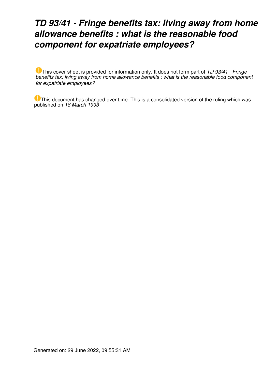## *TD 93/41 - Fringe benefits tax: living away from home allowance benefits : what is the reasonable food component for expatriate employees?*

This cover sheet is provided for information only. It does not form part of *TD 93/41 - Fringe benefits tax: living away from home allowance benefits : what is the reasonable food component for expatriate employees?*

This document has changed over time. This is a consolidated version of the ruling which was published on *18 March 1993*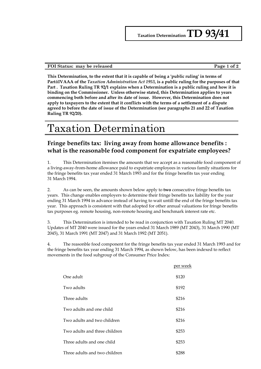### **FOI Status:** may be released **Page 1 of 2**

**This Determination, to the extent that it is capable of being a 'public ruling' in terms of Part**á**IVAAA of the** *Taxation Administration Act 1953***, is a public ruling for the purposes of that Part . Taxation Ruling TR 92/1 explains when a Determination is a public ruling and how it is binding on the Commissioner. Unless otherwise stated, this Determination applies to years commencing both before and after its date of issue. However, this Determination does not apply to taxpayers to the extent that it conflicts with the terms of a settlement of a dispute agreed to before the date of issue of the Determination (see paragraphs 21 and 22 of Taxation Ruling TR 92/20).**

# Taxation Determination

### **Fringe benefits tax: living away from home allowance benefits : what is the reasonable food component for expatriate employees?**

1. This Determination itemises the amounts that we accept as a reasonable food component of a living-away-from-home allowance paid to expatriate employees in various family situations for the fringe benefits tax year ended 31 March 1993 and for the fringe benefits tax year ending 31 March 1994.

2. As can be seen, the amounts shown below apply to **two** consecutive fringe benefits tax years. This change enables employers to determine their fringe benefits tax liability for the year ending 31 March 1994 in advance instead of having to wait untill the end of the fringe benefits tax year. This approach is consistent with that adopted for other annual valuations for fringe benefits tax purposes eg. remote housing, non-remote housing and benchmark interest rate etc.

3. This Determination is intended to be read in conjunction with Taxation Ruling MT 2040. Updates of MT 2040 were issued for the years ended 31 March 1989 (MT 2043), 31 March 1990 (MT 2045), 31 March 1991 (MT 2047) and 31 March 1992 (MT 2051).

4. The reasonble food component for the fringe benefits tax year ended 31 March 1993 and for the fringe benefits tax year ending 31 March 1994, as shown below, has been indexed to reflect movements in the food subgroup of the Consumer Price Index:

|                               | per week |
|-------------------------------|----------|
| One adult                     | \$120    |
| Two adults                    | \$192    |
| Three adults                  | \$216    |
| Two adults and one child      | \$216    |
| Two adults and two children   | \$216    |
| Two adults and three children | \$253    |
| Three adults and one child    | \$253    |
| Three adults and two children | \$288    |